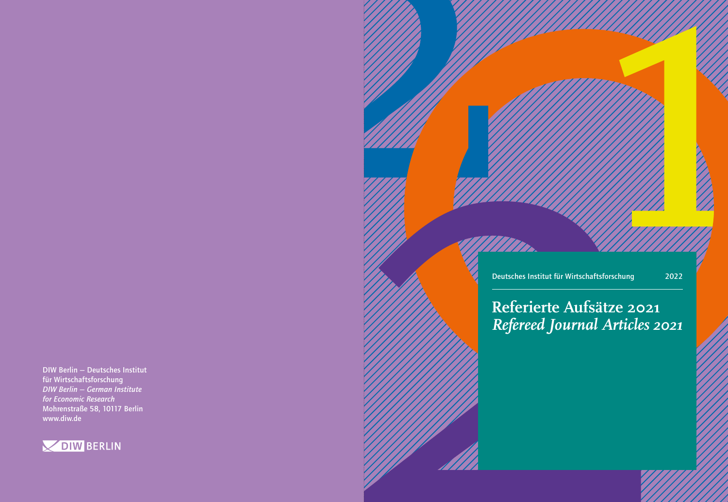DIW Berlin — Deutsches Institut für Wirtschaftsforschung *DIW Berlin — German Institute for Economic Research* Mohrenstraße 58, 10117 Berlin www.diw.de





## **Referierte Aufsätze 2021** *Refereed Journal Articles 2021*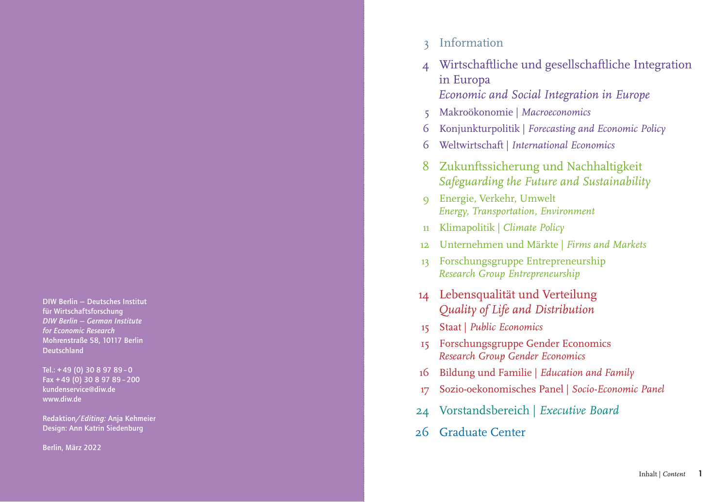DIW Berlin — Deutsches Institut für Wirtschaftsforschung *DIW Berlin — German Institute for Economic Research* Mohrenstraße 58, 10117 Berlin Deutschland

Tel.: + 49 (0) 30 8 97 89 – 0 Fax + 49 (0) 30 8 97 89 – 200 kundenservice@diw.de www.diw.de

Redaktion/*Editing:* Anja Kehmeier Design: Ann Katrin Siedenburg

Berlin, März 2022

- 3 Information
- 4 Wirtschaftliche und gesellschaftliche Integration in Europa *Economic and Social Integration in Europe*
- 5 Makroökonomie | *Macroeconomics*
- 6 Konjunkturpolitik | *Forecasting and Economic Policy*
- 6 Weltwirtschaft | *International Economics*
- 8 Zukunftssicherung und Nachhaltigkeit *Safeguarding the Future and Sustainability*
- 9 Energie, Verkehr, Umwelt *Energy, Transportation, Environment*
- 11 Klimapolitik | *Climate Policy*
- 12 Unternehmen und Märkte | *Firms and Markets*
- 13 Forschungsgruppe Entrepreneurship *Research Group Entrepreneurship*
- 14 Lebensqualität und Verteilung *Quality of Life and Distribution*
- 15 Staat | *Public Economics*
- 15 Forschungsgruppe Gender Economics *Research Group Gender Economics*
- 16 Bildung und Familie | *Education and Family*
- 17 Sozio-oekonomisches Panel | *Socio-Economic Panel*
- 24 Vorstandsbereich | *Executive Board*
- 26 Graduate Center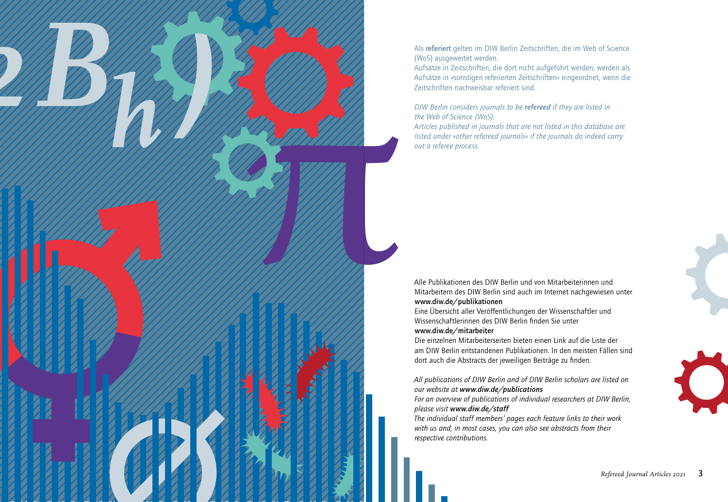Als referiert gelten im DIW Berlin Zeitschriften, die im Web of Science (WoS) ausgewertet werden.

Aufsätze in Zeitschriften, die dort nicht aufgeführt werden, werden als Aufsätze in »sonstigen referierten Zeitschriften« eingeordnet, wenn die Zeitschriften nachweisbar referiert sind.

*DIW Berlin considers journals to be refereed if they are listed in the Web of Science (WoS).*

*π*

*∅*

*Articles published in journals that are not listed in this database are listed under »other refereed journals« if the journals do indeed carry out a referee process.*

Alle Publikationen des DIW Berlin und von Mitarbeiterinnen und Mitarbeitern des DIW Berlin sind auch im Internet nachgewiesen unter www.diw.de/publikationen

Eine Übersicht aller Veröffentlichungen der Wissenschaftler und Wissenschaftlerinnen des DIW Berlin finden Sie unter www.diw.de/mitarbeiter

Die einzelnen Mitarbeiterseiten bieten einen Link auf die Liste der am DIW Berlin entstandenen Publikationen. In den meisten Fällen sind dort auch die Abstracts der jeweiligen Beiträge zu finden.

*All publications of DIW Berlin and of DIW Berlin scholars are listed on our website at www.diw.de/publications*

*For an overview of publications of individual researchers at DIW Berlin, please visit www.diw.de/staff*

*The individual staff members' pages each feature links to their work with us and, in most cases, you can also see abstracts from their respective contributions.*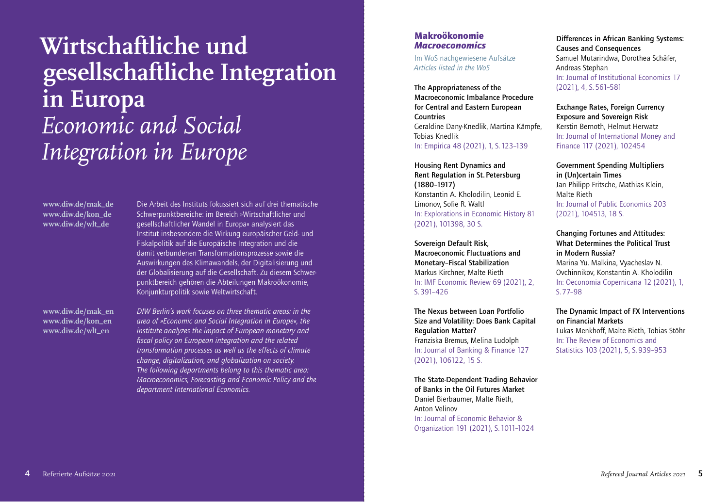# **Wirtschaftliche und gesellschaftliche Integration in Europa** *Economic and Social Integration in Europe*

**www.diw.de/mak\_de www.diw.de/kon\_de www.diw.de/wlt\_de**

Die Arbeit des Instituts fokussiert sich auf drei thematische Schwerpunktbereiche: im Bereich »Wirtschaftlicher und gesellschaftlicher Wandel in Europa« analysiert das Institut insbesondere die Wirkung europäischer Geld- und Fiskalpolitik auf die Europäische Integration und die damit verbundenen Transformationsprozesse sowie die Auswirkungen des Klimawandels, der Digitalisierung und der Globalisierung auf die Gesellschaft. Zu diesem Schwerpunktbereich gehören die Abteilungen Makroökonomie, Konjunkturpolitik sowie Weltwirtschaft.

**www.diw.de/mak\_en www.diw.de/kon\_en www.diw.de/wlt\_en**

*DIW Berlin's work focuses on three thematic areas: in the area of »Economic and Social Integration in Europe«, the institute analyzes the impact of European monetary and fiscal policy on European integration and the related transformation processes as well as the effects of climate change, digitalization, and globalization on society. The following departments belong to this thematic area: Macroeconomics, Forecasting and Economic Policy and the department International Economics.*

#### Makroökonomie *Macroeconomics*

Im WoS nachgewiesene Aufsätze *Articles listed in the WoS*

The Appropriateness of the Macroeconomic Imbalance Procedure for Central and Eastern European Countries Geraldine Dany-Knedlik, Martina Kämpfe, Tobias Knedlik In: Empirica 48 (2021), 1, S. 123–139

Housing Rent Dynamics and Rent Regulation in St. Petersburg (1880–1917) Konstantin A. Kholodilin, Leonid E. Limonov, Sofie R. Waltl In: Explorations in Economic History 81 (2021), 101398, 30 S.

Sovereign Default Risk, Macroeconomic Fluctuations and Monetary–Fiscal Stabilization Markus Kirchner, Malte Rieth In: IMF Economic Review 69 (2021), 2, S. 391–426

The Nexus between Loan Portfolio Size and Volatility: Does Bank Capital Regulation Matter? Franziska Bremus, Melina Ludolph In: Journal of Banking & Finance 127 (2021), 106122, 15 S.

The State-Dependent Trading Behavior of Banks in the Oil Futures Market Daniel Bierbaumer, Malte Rieth, Anton Velinov In: Journal of Economic Behavior & Organization 191 (2021), S. 1011–1024

Differences in African Banking Systems: Causes and Consequences Samuel Mutarindwa, Dorothea Schäfer, Andreas Stephan In: Journal of Institutional Economics 17 (2021), 4, S. 561–581

Exchange Rates, Foreign Currency Exposure and Sovereign Risk Kerstin Bernoth, Helmut Herwatz In: Journal of International Money and Finance 117 (2021), 102454

Government Spending Multipliers in (Un)certain Times Jan Philipp Fritsche, Mathias Klein, Malte Rieth In: Journal of Public Economics 203 (2021), 104513, 18 S.

Changing Fortunes and Attitudes: What Determines the Political Trust in Modern Russia? Marina Yu. Malkina, Vyacheslav N. Ovchinnikov, Konstantin A. Kholodilin In: Oeconomia Copernicana 12 (2021), 1, S. 77–98

The Dynamic Impact of FX Interventions on Financial Markets Lukas Menkhoff, Malte Rieth, Tobias Stöhr In: The Review of Economics and Statistics 103 (2021), 5, S. 939–953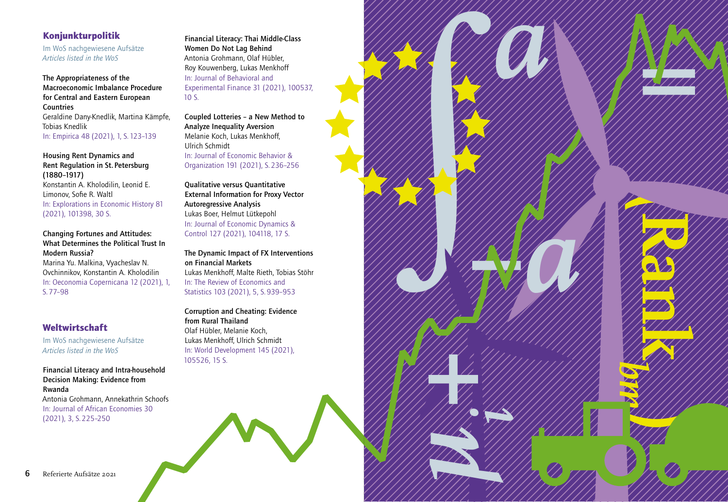### Konjunkturpolitik

Im WoS nachgewiesene Aufsätze *Articles listed in the WoS*

The Appropriateness of the Macroeconomic Imbalance Procedure for Central and Eastern European **Countries** Geraldine Dany-Knedlik, Martina Kämpfe, Tobias Knedlik In: Empirica 48 (2021), 1, S. 123–139

Housing Rent Dynamics and Rent Regulation in St. Petersburg (1880–1917) Konstantin A. Kholodilin, Leonid E. Limonov, Sofie R. Waltl In: Explorations in Economic History 81 (2021), 101398, 30 S.

Changing Fortunes and Attitudes: What Determines the Political Trust In Modern Russia?

Marina Yu. Malkina, Vyacheslav N. Ovchinnikov, Konstantin A. Kholodilin In: Oeconomia Copernicana 12 (2021), 1, S. 77–98

### Weltwirtschaft

Im WoS nachgewiesene Aufsätze *Articles listed in the WoS*

#### Financial Literacy and Intra-household Decision Making: Evidence from Rwanda

Antonia Grohmann, Annekathrin Schoofs In: Journal of African Economies 30 (2021), 3, S. 225–250

Financial Literacy: Thai Middle-Class Women Do Not Lag Behind Antonia Grohmann, Olaf Hübler, Roy Kouwenberg, Lukas Menkhoff In: Journal of Behavioral and Experimental Finance 31 (2021), 100537, 10 S.

Coupled Lotteries – a New Method to Analyze Inequality Aversion Melanie Koch, Lukas Menkhoff, Ulrich Schmidt In: Journal of Economic Behavior & Organization 191 (2021), S. 236–256

Qualitative versus Quantitative External Information for Proxy Vector Autoregressive Analysis Lukas Boer, Helmut Lütkepohl In: Journal of Economic Dynamics & Control 127 (2021), 104118, 17 S.

The Dynamic Impact of FX Interventions on Financial Markets Lukas Menkhoff, Malte Rieth, Tobias Stöhr In: The Review of Economics and Statistics 103 (2021), 5, S. 939–953

Corruption and Cheating: Evidence from Rural Thailand Olaf Hübler, Melanie Koch, Lukas Menkhoff, Ulrich Schmidt In: World Development 145 (2021), 105526, 15 S.



∫*−*

μ<br>μ<sub>με</sub>

**+i**<br>**+i**<br>The stage

7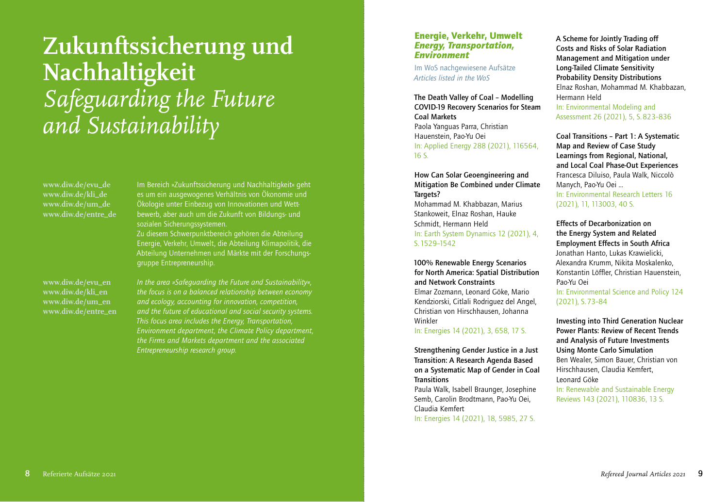# **Zukunftssicherung und Nachhaltigkeit** *Safeguarding the Future and Sustainability*

**www.diw.de/evu\_de www.diw.de/kli\_de www.diw.de/um\_de www.diw.de/entre\_de** Im Bereich »Zukunftssicherung und Nachhaltigkeit« geht es um ein ausgewogenes Verhältnis von Ökonomie und Ökologie unter Einbezug von Innovationen und Wettbewerb, aber auch um die Zukunft von Bildungs- und sozialen Sicherungssystemen.

Zu diesem Schwerpunktbereich gehören die Abteilung Energie, Verkehr, Umwelt, die Abteilung Klimapolitik, die Abteilung Unternehmen und Märkte mit der Forschungsgruppe Entrepreneurship.

**www.diw.de/evu\_en www.diw.de/kli\_en www.diw.de/um\_en www.diw.de/entre\_en** *In the area »Safeguarding the Future and Sustainability«, the focus is on a balanced relationship between economy and ecology, accounting for innovation, competition, and the future of educational and social security systems. This focus area includes the Energy, Transportation, Environment department, the Climate Policy department, the Firms and Markets department and the associated Entrepreneurship research group.*

#### Energie, Verkehr, Umwelt *Energy, Transportation, Environment*

Im WoS nachgewiesene Aufsätze *Articles listed in the WoS*

The Death Valley of Coal – Modelling COVID-19 Recovery Scenarios for Steam Coal Markets Paola Yanguas Parra, Christian Hauenstein, Pao-Yu Oei In: Applied Energy 288 (2021), 116564, 16 S.

How Can Solar Geoengineering and Mitigation Be Combined under Climate Targets?

Mohammad M. Khabbazan, Marius Stankoweit, Elnaz Roshan, Hauke Schmidt, Hermann Held In: Earth System Dynamics 12 (2021), 4, S. 1529–1542

100% Renewable Energy Scenarios for North America: Spatial Distribution and Network Constraints Elmar Zozmann, Leonard Göke, Mario Kendziorski, Citlali Rodriguez del Angel, Christian von Hirschhausen, Johanna

In: Energies 14 (2021), 3, 658, 17 S.

Winkler

Strengthening Gender Justice in a Just Transition: A Research Agenda Based on a Systematic Map of Gender in Coal **Transitions** 

Paula Walk, Isabell Braunger, Josephine Semb, Carolin Brodtmann, Pao-Yu Oei, Claudia Kemfert In: Energies 14 (2021), 18, 5985, 27 S.

A Scheme for Jointly Trading off Costs and Risks of Solar Radiation Management and Mitigation under Long-Tailed Climate Sensitivity Probability Density Distributions Elnaz Roshan, Mohammad M. Khabbazan, Hermann Held In: Environmental Modeling and Assessment 26 (2021), 5, S. 823–836

Coal Transitions – Part 1: A Systematic Map and Review of Case Study Learnings from Regional, National, and Local Coal Phase-Out Experiences Francesca Diluiso, Paula Walk, Niccolò Manych, Pao-Yu Oei … In: Environmental Research Letters 16 (2021), 11, 113003, 40 S.

Effects of Decarbonization on the Energy System and Related Employment Effects in South Africa Jonathan Hanto, Lukas Krawielicki, Alexandra Krumm, Nikita Moskalenko, Konstantin Löffler, Christian Hauenstein, Pao-Yu Oei

In: Environmental Science and Policy 124 (2021), S. 73–84

Investing into Third Generation Nuclear Power Plants: Review of Recent Trends and Analysis of Future Investments Using Monte Carlo Simulation Ben Wealer, Simon Bauer, Christian von Hirschhausen, Claudia Kemfert, Leonard Göke

In: Renewable and Sustainable Energy Reviews 143 (2021), 110836, 13 S.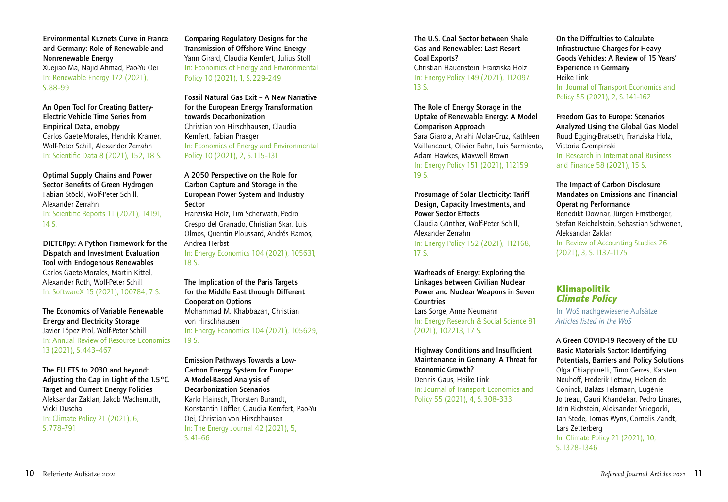Environmental Kuznets Curve in France and Germany: Role of Renewable and Nonrenewable Energy Xuejiao Ma, Najid Ahmad, Pao-Yu Oei In: Renewable Energy 172 (2021), S. 88–99

An Open Tool for Creating Battery-Electric Vehicle Time Series from Empirical Data, emobpy Carlos Gaete-Morales, Hendrik Kramer, Wolf-Peter Schill, Alexander Zerrahn In: Scientific Data 8 (2021), 152, 18 S.

Optimal Supply Chains and Power Sector Benefits of Green Hydrogen Fabian Stöckl, Wolf-Peter Schill, Alexander Zerrahn In: Scientific Reports 11 (2021), 14191, 14 S.

DIETERpy: A Python Framework for the Dispatch and Investment Evaluation Tool with Endogenous Renewables Carlos Gaete-Morales, Martin Kittel, Alexander Roth, Wolf-Peter Schill In: SoftwareX 15 (2021), 100784, 7 S.

The Economics of Variable Renewable Energy and Electricity Storage Javier López Prol, Wolf-Peter Schill In: Annual Review of Resource Economics 13 (2021), S. 443–467

The EU ETS to 2030 and beyond: Adjusting the Cap in Light of the 1.5°C Target and Current Energy Policies Aleksandar Zaklan, Jakob Wachsmuth, Vicki Duscha In: Climate Policy 21 (2021), 6, S. 778–791

Comparing Regulatory Designs for the Transmission of Offshore Wind Energy Yann Girard, Claudia Kemfert, Julius Stoll In: Economics of Energy and Environmental Policy 10 (2021), 1, S. 229–249

Fossil Natural Gas Exit – A New Narrative for the European Energy Transformation towards Decarbonization Christian von Hirschhausen, Claudia Kemfert, Fabian Praeger In: Economics of Energy and Environmental Policy 10 (2021), 2, S. 115–131

A 2050 Perspective on the Role for Carbon Capture and Storage in the European Power System and Industry Sector

Franziska Holz, Tim Scherwath, Pedro Crespo del Granado, Christian Skar, Luis Olmos, Quentin Ploussard, Andrés Ramos, Andrea Herbst In: Energy Economics 104 (2021), 105631, 18 S.

The Implication of the Paris Targets for the Middle East through Different Cooperation Options Mohammad M. Khabbazan, Christian von Hirschhausen In: Energy Economics 104 (2021), 105629, 19 S.

Emission Pathways Towards a Low-Carbon Energy System for Europe: A Model-Based Analysis of Decarbonization Scenarios Karlo Hainsch, Thorsten Burandt, Konstantin Löffler, Claudia Kemfert, Pao-Yu Oei, Christian von Hirschhausen In: The Energy Journal 42 (2021), 5, S. 41–66

The U.S. Coal Sector between Shale Gas and Renewables: Last Resort Coal Exports? Christian Hauenstein, Franziska Holz In: Energy Policy 149 (2021), 112097, 13 S.

The Role of Energy Storage in the Uptake of Renewable Energy: A Model Comparison Approach Sara Giarola, Anahi Molar-Cruz, Kathleen Vaillancourt, Olivier Bahn, Luis Sarmiento, Adam Hawkes, Maxwell Brown In: Energy Policy 151 (2021), 112159, 19 S.

Prosumage of Solar Electricity: Tariff Design, Capacity Investments, and Power Sector Effects Claudia Günther, Wolf-Peter Schill, Alexander Zerrahn In: Energy Policy 152 (2021), 112168, 17 S.

Warheads of Energy: Exploring the Linkages between Civilian Nuclear Power and Nuclear Weapons in Seven Countries Lars Sorge, Anne Neumann In: Energy Research & Social Science 81 (2021), 102213, 17 S.

Highway Conditions and Insufficient Maintenance in Germany: A Threat for Economic Growth? Dennis Gaus, Heike Link In: Journal of Transport Economics and Policy 55 (2021), 4, S. 308–333

On the Diffculties to Calculate Infrastructure Charges for Heavy Goods Vehicles: A Review of 15 Years' Experience in Germany Heike Link In: Journal of Transport Economics and Policy 55 (2021), 2, S. 141–162

Freedom Gas to Europe: Scenarios Analyzed Using the Global Gas Model Ruud Egging-Bratseth, Franziska Holz, Victoria Czempinski In: Research in International Business and Finance 58 (2021), 15 S.

The Impact of Carbon Disclosure Mandates on Emissions and Financial Operating Performance Benedikt Downar, Jürgen Ernstberger, Stefan Reichelstein, Sebastian Schwenen, Aleksandar Zaklan In: Review of Accounting Studies 26 (2021), 3, S. 1137–1175

### Klimapolitik *Climate Policy*

Im WoS nachgewiesene Aufsätze *Articles listed in the WoS*

A Green COVID-19 Recovery of the EU Basic Materials Sector: Identifying Potentials, Barriers and Policy Solutions Olga Chiappinelli, Timo Gerres, Karsten Neuhoff, Frederik Lettow, Heleen de Coninck, Balázs Felsmann, Eugénie Joltreau, Gauri Khandekar, Pedro Linares, Jörn Richstein, Aleksander Śniegocki, Jan Stede, Tomas Wyns, Cornelis Zandt, Lars Zetterberg In: Climate Policy 21 (2021), 10, S. 1328–1346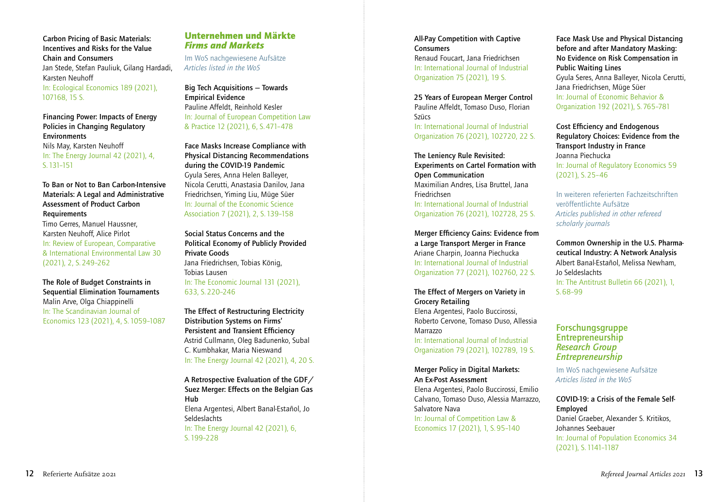Carbon Pricing of Basic Materials: Incentives and Risks for the Value Chain and Consumers Jan Stede, Stefan Pauliuk, Gilang Hardadi, Karsten Neuhoff In: Ecological Economics 189 (2021), 107168, 15 S.

Financing Power: Impacts of Energy Policies in Changing Regulatory **Environments** Nils May, Karsten Neuhoff In: The Energy Journal 42 (2021), 4, S. 131–151

To Ban or Not to Ban Carbon-Intensive Materials: A Legal and Administrative Assessment of Product Carbon Requirements

Timo Gerres, Manuel Haussner, Karsten Neuhoff, Alice Pirlot In: Review of European, Comparative & International Environmental Law 30 (2021), 2, S. 249–262

The Role of Budget Constraints in Sequential Elimination Tournaments Malin Arve, Olga Chiappinelli In: The Scandinavian Journal of Economics 123 (2021), 4, S. 1059–1087

#### Unternehmen und Märkte *Firms and Markets*

Im WoS nachgewiesene Aufsätze *Articles listed in the WoS*

Big Tech Acquisitions — Towards Empirical Evidence Pauline Affeldt, Reinhold Kesler In: Journal of European Competition Law & Practice 12 (2021), 6, S. 471–478

Face Masks Increase Compliance with Physical Distancing Recommendations during the COVID-19 Pandemic Gyula Seres, Anna Helen Balleyer, Nicola Cerutti, Anastasia Danilov, Jana Friedrichsen, Yiming Liu, Müge Süer In: Journal of the Economic Science Association 7 (2021), 2, S. 139–158

Social Status Concerns and the Political Economy of Publicly Provided Private Goods Jana Friedrichsen, Tobias König, Tobias Lausen In: The Economic Journal 131 (2021), 633, S. 220–246

The Effect of Restructuring Electricity Distribution Systems on Firms' Persistent and Transient Efficiency Astrid Cullmann, Oleg Badunenko, Subal C. Kumbhakar, Maria Nieswand In: The Energy Journal 42 (2021), 4, 20 S.

A Retrospective Evaluation of the GDF/ Suez Merger: Effects on the Belgian Gas Hub Elena Argentesi, Albert Banal-Estañol, Jo Seldeslachts In: The Energy Journal 42 (2021), 6,

S. 199–228

All-Pay Competition with Captive **Consumers** Renaud Foucart, Jana Friedrichsen In: International Journal of Industrial Organization 75 (2021), 19 S.

25 Years of European Merger Control Pauline Affeldt, Tomaso Duso, Florian Szücs In: International Journal of Industrial

Organization 76 (2021), 102720, 22 S.

The Leniency Rule Revisited: Experiments on Cartel Formation with Open Communication Maximilian Andres, Lisa Bruttel, Jana Friedrichsen In: International Journal of Industrial Organization 76 (2021), 102728, 25 S.

Merger Efficiency Gains: Evidence from a Large Transport Merger in France Ariane Charpin, Joanna Piechucka In: International Journal of Industrial Organization 77 (2021), 102760, 22 S.

The Effect of Mergers on Variety in Grocery Retailing Elena Argentesi, Paolo Buccirossi, Roberto Cervone, Tomaso Duso, Allessia Marrazzo In: International Journal of Industrial Organization 79 (2021), 102789, 19 S.

Merger Policy in Digital Markets: An Ex-Post Assessment Elena Argentesi, Paolo Buccirossi, Emilio Calvano, Tomaso Duso, Alessia Marrazzo, Salvatore Nava In: Journal of Competition Law & Economics 17 (2021), 1, S. 95–140

Face Mask Use and Physical Distancing before and after Mandatory Masking: No Evidence on Risk Compensation in Public Waiting Lines Gyula Seres, Anna Balleyer, Nicola Cerutti, Jana Friedrichsen, Müge Süer In: Journal of Economic Behavior & Organization 192 (2021), S. 765–781

Cost Efficiency and Endogenous Regulatory Choices: Evidence from the Transport Industry in France Joanna Piechucka In: Journal of Regulatory Economics 59 (2021), S. 25–46

In weiteren referierten Fachzeitschriften veröffentlichte Aufsätze *Articles published in other refereed scholarly journals*

Common Ownership in the U.S. Pharmaceutical Industry: A Network Analysis Albert Banal-Estañol, Melissa Newham, Jo Seldeslachts In: The Antitrust Bulletin 66 (2021), 1, S. 68–99

Forschungsgruppe Entrepreneurship *Research Group Entrepreneurship*

Im WoS nachgewiesene Aufsätze *Articles listed in the WoS*

COVID-19: a Crisis of the Female Self-Employed Daniel Graeber, Alexander S. Kritikos, Johannes Seebauer In: Journal of Population Economics 34 (2021), S. 1141–1187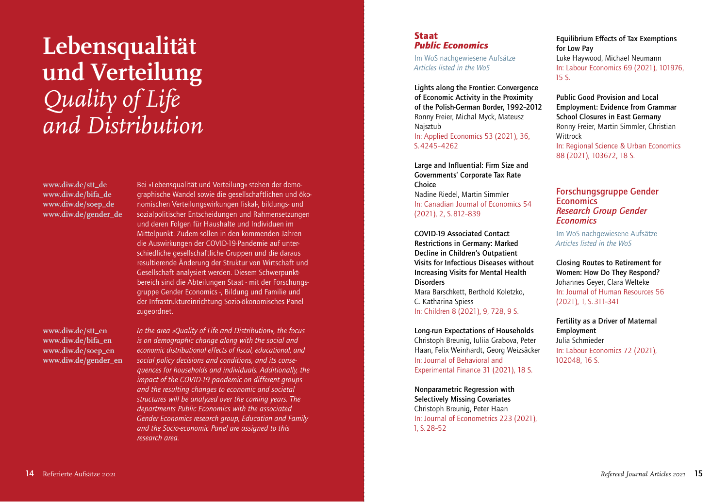# **Lebensqualität und Verteilung** *Quality of Life and Distribution*

**www.diw.de/stt\_de www.diw.de/bifa\_de www.diw.de/soep\_de www.diw.de/gender\_de** 

**www.diw.de/stt\_en www.diw.de/bifa\_en www.diw.de/soep\_en www.diw.de/gender\_en**

Bei »Lebensqualität und Verteilung« stehen der demographische Wandel sowie die gesellschaftlichen und ökonomischen Verteilungswirkungen fiskal-, bildungs- und sozialpolitischer Entscheidungen und Rahmensetzungen und deren Folgen für Haushalte und Individuen im Mittelpunkt. Zudem sollen in den kommenden Jahren die Auswirkungen der COVID-19-Pandemie auf unterschiedliche gesellschaftliche Gruppen und die daraus resultierende Änderung der Struktur von Wirtschaft und Gesellschaft analysiert werden. Diesem Schwerpunktbereich sind die Abteilungen Staat - mit der Forschungsgruppe Gender Economics -, Bildung und Familie und der Infrastruktureinrichtung Sozio-ökonomisches Panel zugeordnet.

*In the area »Quality of Life and Distribution«, the focus is on demographic change along with the social and economic distributional effects of fiscal, educational, and social policy decisions and conditions, and its consequences for households and individuals. Additionally, the impact of the COVID-19 pandemic on different groups and the resulting changes to economic and societal structures will be analyzed over the coming years. The departments Public Economics with the associated Gender Economics research group, Education and Family and the Socio-economic Panel are assigned to this research area.*

#### Staat *Public Economics*

Im WoS nachgewiesene Aufsätze *Articles listed in the WoS*

Lights along the Frontier: Convergence of Economic Activity in the Proximity of the Polish-German Border, 1992–2012 Ronny Freier, Michal Myck, Mateusz Najsztub In: Applied Economics 53 (2021), 36, S. 4245–4262

Large and Influential: Firm Size and Governments' Corporate Tax Rate Choice Nadine Riedel, Martin Simmler In: Canadian Journal of Economics 54 (2021), 2, S. 812–839

COVID-19 Associated Contact Restrictions in Germany: Marked Decline in Children's Outpatient Visits for Infectious Diseases without Increasing Visits for Mental Health **Disorders** Mara Barschkett, Berthold Koletzko, C. Katharina Spiess In: Children 8 (2021), 9, 728, 9 S.

Long-run Expectations of Households Christoph Breunig, Iuliia Grabova, Peter Haan, Felix Weinhardt, Georg Weizsäcker In: Journal of Behavioral and Experimental Finance 31 (2021), 18 S.

Nonparametric Regression with Selectively Missing Covariates Christoph Breunig, Peter Haan In: Journal of Econometrics 223 (2021), 1, S. 28–52

Equilibrium Effects of Tax Exemptions for Low Pay Luke Haywood, Michael Neumann In: Labour Economics 69 (2021), 101976, 15 S.

Public Good Provision and Local Employment: Evidence from Grammar School Closures in East Germany Ronny Freier, Martin Simmler, Christian Wittrock In: Regional Science & Urban Economics 88 (2021), 103672, 18 S.

#### Forschungsgruppe Gender **Economics** *Research Group Gender Economics*

Im WoS nachgewiesene Aufsätze *Articles listed in the WoS*

Closing Routes to Retirement for Women: How Do They Respond? Johannes Geyer, Clara Welteke In: Journal of Human Resources 56 (2021), 1, S. 311–341

Fertility as a Driver of Maternal Employment Julia Schmieder In: Labour Economics 72 (2021), 102048, 16 S.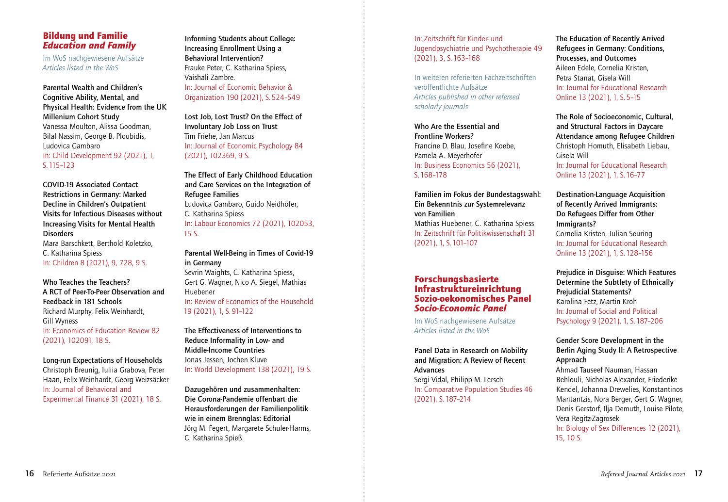#### Bildung und Familie *Education and Family*

Im WoS nachgewiesene Aufsätze *Articles listed in the WoS*

Parental Wealth and Children's Cognitive Ability, Mental, and Physical Health: Evidence from the UK Millenium Cohort Study Vanessa Moulton, Alissa Goodman, Bilal Nassim, George B. Ploubidis, Ludovica Gambaro In: Child Development 92 (2021), 1, S. 115–123

COVID-19 Associated Contact Restrictions in Germany: Marked Decline in Children's Outpatient Visits for Infectious Diseases without Increasing Visits for Mental Health **Disorders** Mara Barschkett, Berthold Koletzko, C. Katharina Spiess

In: Children 8 (2021), 9, 728, 9 S.

Who Teaches the Teachers? A RCT of Peer-To-Peer Observation and Feedback in 181 Schools Richard Murphy, Felix Weinhardt, Gill Wyness In: Economics of Education Review 82 (2021), 102091, 18 S.

Long-run Expectations of Households

Christoph Breunig, Iuliia Grabova, Peter Haan, Felix Weinhardt, Georg Weizsäcker In: Journal of Behavioral and Experimental Finance 31 (2021), 18 S.

Informing Students about College: Increasing Enrollment Using a Behavioral Intervention? Frauke Peter, C. Katharina Spiess, Vaishali Zambre. In: Journal of Economic Behavior & Organization 190 (2021), S. 524–549

Lost Job, Lost Trust? On the Effect of Involuntary Job Loss on Trust Tim Friehe, Jan Marcus In: Journal of Economic Psychology 84 (2021), 102369, 9 S.

The Effect of Early Childhood Education and Care Services on the Integration of Refugee Families Ludovica Gambaro, Guido Neidhöfer, C. Katharina Spiess In: Labour Economics 72 (2021), 102053, 15 S.

#### Parental Well-Being in Times of Covid-19 in Germany Sevrin Waights, C. Katharina Spiess,

Gert G. Wagner, Nico A. Siegel, Mathias Huebener

In: Review of Economics of the Household 19 (2021), 1, S. 91–122

The Effectiveness of Interventions to Reduce Informality in Low- and Middle-Income Countries Jonas Jessen, Jochen Kluve In: World Development 138 (2021), 19 S.

Dazugehören und zusammenhalten: Die Corona-Pandemie offenbart die Herausforderungen der Familienpolitik wie in einem Brennglas: Editorial Jörg M. Fegert, Margarete Schuler-Harms, C. Katharina Spieß

In: Zeitschrift für Kinder- und Jugendpsychiatrie und Psychotherapie 49 (2021), 3, S. 163–168

In weiteren referierten Fachzeitschriften veröffentlichte Aufsätze *Articles published in other refereed scholarly journals*

Who Are the Essential and Frontline Workers? Francine D. Blau, Josefine Koebe, Pamela A. Meyerhofer In: Business Economics 56 (2021), S. 168–178

Familien im Fokus der Bundestagswahl: Ein Bekenntnis zur Systemrelevanz von Familien Mathias Huebener, C. Katharina Spiess In: Zeitschrift für Politikwissenschaft 31 (2021), 1, S. 101–107

### Forschungsbasierte Infrastruktureinrichtung Sozio-oekonomisches Panel *Socio-Economic Panel*

Im WoS nachgewiesene Aufsätze *Articles listed in the WoS*

Panel Data in Research on Mobility and Migration: A Review of Recent Advances Sergi Vidal, Philipp M. Lersch In: Comparative Population Studies 46

(2021), S. 187–214

The Education of Recently Arrived Refugees in Germany: Conditions, Processes, and Outcomes Aileen Edele, Cornelia Kristen, Petra Stanat, Gisela Will In: Journal for Educational Research Online 13 (2021), 1, S. 5–15

The Role of Socioeconomic, Cultural, and Structural Factors in Daycare Attendance among Refugee Children Christoph Homuth, Elisabeth Liebau, Gisela Will In: Journal for Educational Research Online 13 (2021), 1, S. 16–77

Destination-Language Acquisition of Recently Arrived Immigrants: Do Refugees Differ from Other Immigrants? Cornelia Kristen, Julian Seuring In: Journal for Educational Research Online 13 (2021), 1, S. 128–156

Prejudice in Disguise: Which Features Determine the Subtlety of Ethnically Prejudicial Statements? Karolina Fetz, Martin Kroh In: Journal of Social and Political Psychology 9 (2021), 1, S. 187–206

### Gender Score Development in the Berlin Aging Study II: A Retrospective Approach

Ahmad Tauseef Nauman, Hassan Behlouli, Nicholas Alexander, Friederike Kendel, Johanna Drewelies, Konstantinos Mantantzis, Nora Berger, Gert G. Wagner, Denis Gerstorf, Ilja Demuth, Louise Pilote, Vera Regitz-Zagrosek In: Biology of Sex Differences 12 (2021).

15, 10 S.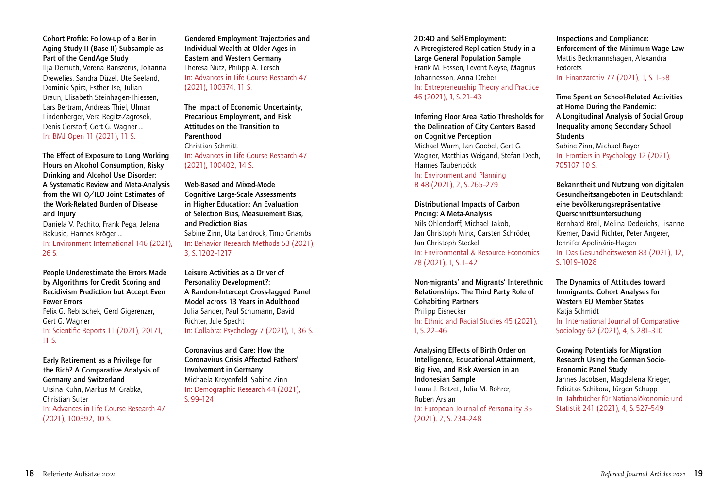#### Cohort Profile: Follow-up of a Berlin Aging Study II (Base-II) Subsample as Part of the GendAge Study

Ilja Demuth, Verena Banszerus, Johanna Drewelies, Sandra Düzel, Ute Seeland, Dominik Spira, Esther Tse, Julian Braun, Elisabeth Steinhagen-Thiessen, Lars Bertram, Andreas Thiel, Ulman Lindenberger, Vera Regitz-Zagrosek, Denis Gerstorf, Gert G. Wagner … In: BMJ Open 11 (2021), 11 S.

The Effect of Exposure to Long Working Hours on Alcohol Consumption, Risky Drinking and Alcohol Use Disorder: A Systematic Review and Meta-Analysis from the WHO/ILO Joint Estimates of the Work-Related Burden of Disease and Injury

Daniela V. Pachito, Frank Pega, Jelena Bakusic, Hannes Kröger …

In: Environment International 146 (2021), 26 S.

People Underestimate the Errors Made by Algorithms for Credit Scoring and Recidivism Prediction but Accept Even Fewer Errors Felix G. Rebitschek, Gerd Gigerenzer, Gert G. Wagner In: Scientific Reports 11 (2021), 20171, 11 S.

Early Retirement as a Privilege for the Rich? A Comparative Analysis of Germany and Switzerland Ursina Kuhn, Markus M. Grabka, Christian Suter In: Advances in Life Course Research 47 (2021), 100392, 10 S.

Gendered Employment Trajectories and Individual Wealth at Older Ages in Eastern and Western Germany Theresa Nutz, Philipp A. Lersch In: Advances in Life Course Research 47 (2021), 100374, 11 S.

The Impact of Economic Uncertainty, Precarious Employment, and Risk Attitudes on the Transition to Parenthood Christian Schmitt In: Advances in Life Course Research 47 (2021), 100402, 14 S.

Web-Based and Mixed-Mode Cognitive Large-Scale Assessments in Higher Education: An Evaluation of Selection Bias, Measurement Bias, and Prediction Bias Sabine Zinn, Uta Landrock, Timo Gnambs In: Behavior Research Methods 53 (2021), 3, S. 1202–1217

Leisure Activities as a Driver of Personality Development?: A Random-Intercept Cross-lagged Panel Model across 13 Years in Adulthood Julia Sander, Paul Schumann, David Richter, Jule Specht In: Collabra: Psychology 7 (2021), 1, 36 S.

Coronavirus and Care: How the Coronavirus Crisis Affected Fathers' Involvement in Germany Michaela Kreyenfeld, Sabine Zinn In: Demographic Research 44 (2021), S. 99–124

2D:4D and Self-Employment: A Preregistered Replication Study in a Large General Population Sample Frank M. Fossen, Levent Neyse, Magnus Johannesson, Anna Dreber In: Entrepreneurship Theory and Practice 46 (2021), 1, S. 21–43

Inferring Floor Area Ratio Thresholds for the Delineation of City Centers Based on Cognitive Perception Michael Wurm, Jan Goebel, Gert G. Wagner, Matthias Weigand, Stefan Dech, Hannes Taubenböck

In: Environment and Planning B 48 (2021), 2, S. 265–279

Distributional Impacts of Carbon Pricing: A Meta-Analysis Nils Ohlendorff, Michael Jakob, Jan Christoph Minx, Carsten Schröder, Jan Christoph Steckel In: Environmental & Resource Economics 78 (2021), 1, S. 1–42

Non-migrants' and Migrants' Interethnic Relationships: The Third Party Role of Cohabiting Partners Philipp Eisnecker In: Ethnic and Racial Studies 45 (2021), 1, S. 22–46

Analysing Effects of Birth Order on Intelligence, Educational Attainment, Big Five, and Risk Aversion in an Indonesian Sample Laura J. Botzet, Julia M. Rohrer, Ruben Arslan In: European Journal of Personality 35 (2021), 2, S. 234–248

Inspections and Compliance: Enforcement of the Minimum-Wage Law Mattis Beckmannshagen, Alexandra Fedorets In: Finanzarchiv 77 (2021), 1, S. 1–58

Time Spent on School-Related Activities at Home During the Pandemic: A Longitudinal Analysis of Social Group Inequality among Secondary School **Students** Sabine Zinn, Michael Bayer In: Frontiers in Psychology 12 (2021), 705107, 10 S.

Bekanntheit und Nutzung von digitalen Gesundheitsangeboten in Deutschland: eine bevölkerungsrepräsentative Querschnittsuntersuchung Bernhard Breil, Melina Dederichs, Lisanne Kremer, David Richter, Peter Angerer, Jennifer Apolinário-Hagen In: Das Gesundheitswesen 83 (2021), 12, S. 1019–1028

The Dynamics of Attitudes toward Immigrants: Cohort Analyses for Western EU Member States Katja Schmidt In: International Journal of Comparative Sociology 62 (2021), 4, S. 281–310

Growing Potentials for Migration Research Using the German Socio-Economic Panel Study Jannes Jacobsen, Magdalena Krieger, Felicitas Schikora, Jürgen Schupp In: Jahrbücher für Nationalökonomie und Statistik 241 (2021), 4, S. 527–549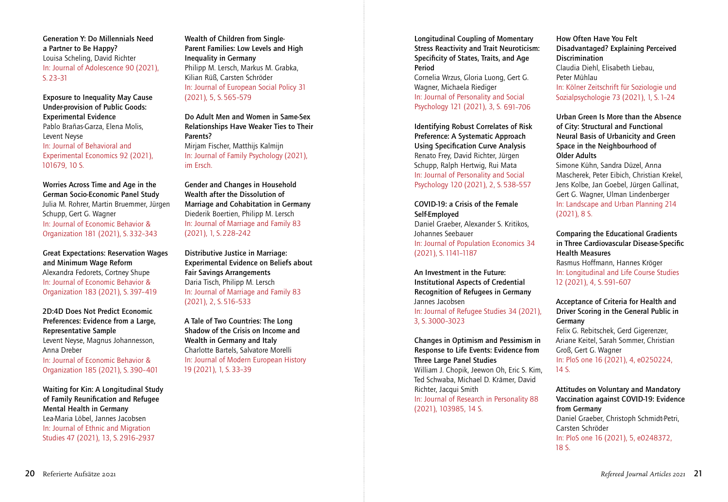Generation Y: Do Millennials Need a Partner to Be Happy? Louisa Scheling, David Richter In: Journal of Adolescence 90 (2021), S. 23–31

Exposure to Inequality May Cause Under-provision of Public Goods: Experimental Evidence Pablo Brañas-Garza, Elena Molis, Levent Neyse In: Journal of Behavioral and Experimental Economics 92 (2021), 101679, 10 S.

Worries Across Time and Age in the German Socio-Economic Panel Study Julia M. Rohrer, Martin Bruemmer, Jürgen Schupp, Gert G. Wagner In: Journal of Economic Behavior & Organization 181 (2021), S. 332–343

Great Expectations: Reservation Wages and Minimum Wage Reform Alexandra Fedorets, Cortney Shupe In: Journal of Economic Behavior & Organization 183 (2021), S. 397–419

2D:4D Does Not Predict Economic Preferences: Evidence from a Large, Representative Sample Levent Neyse, Magnus Johannesson, Anna Dreber

In: Journal of Economic Behavior & Organization 185 (2021), S. 390–401

Waiting for Kin: A Longitudinal Study of Family Reunification and Refugee Mental Health in Germany Lea-Maria Löbel, Jannes Jacobsen In: Journal of Ethnic and Migration Studies 47 (2021), 13, S. 2916–2937

Wealth of Children from Single-Parent Families: Low Levels and High Inequality in Germany Philipp M. Lersch, Markus M. Grabka, Kilian Rüß, Carsten Schröder In: Journal of European Social Policy 31 (2021), 5, S. 565–579

Do Adult Men and Women in Same-Sex Relationships Have Weaker Ties to Their Parents? Mirjam Fischer, Matthijs Kalmijn In: Journal of Family Psychology (2021), im Ersch.

Gender and Changes in Household Wealth after the Dissolution of Marriage and Cohabitation in Germany Diederik Boertien, Philipp M. Lersch In: Journal of Marriage and Family 83 (2021), 1, S. 228–242

Distributive Justice in Marriage: Experimental Evidence on Beliefs about Fair Savings Arrangements Daria Tisch, Philipp M. Lersch In: Journal of Marriage and Family 83 (2021), 2, S. 516–533

A Tale of Two Countries: The Long Shadow of the Crisis on Income and Wealth in Germany and Italy Charlotte Bartels, Salvatore Morelli In: Journal of Modern European History 19 (2021), 1, S. 33–39

Longitudinal Coupling of Momentary Stress Reactivity and Trait Neuroticism: Specificity of States, Traits, and Age Period

Cornelia Wrzus, Gloria Luong, Gert G. Wagner, Michaela Riediger In: Journal of Personality and Social Psychology 121 (2021), 3, S. 691–706

Identifying Robust Correlates of Risk Preference: A Systematic Approach Using Specification Curve Analysis Renato Frey, David Richter, Jürgen Schupp, Ralph Hertwig, Rui Mata In: Journal of Personality and Social Psychology 120 (2021), 2, S. 538–557

COVID-19: a Crisis of the Female Self-Employed Daniel Graeber, Alexander S. Kritikos, Johannes Seebauer In: Journal of Population Economics 34 (2021), S. 1141–1187

An Investment in the Future: Institutional Aspects of Credential Recognition of Refugees in Germany Jannes Jacobsen In: Journal of Refugee Studies 34 (2021), 3, S. 3000–3023

Changes in Optimism and Pessimism in Response to Life Events: Evidence from Three Large Panel Studies William J. Chopik, Jeewon Oh, Eric S. Kim, Ted Schwaba, Michael D. Krämer, David Richter, Jacqui Smith In: Journal of Research in Personality 88 (2021), 103985, 14 S.

How Often Have You Felt Disadvantaged? Explaining Perceived **Discrimination** Claudia Diehl, Elisabeth Liebau, Peter Mühlau In: Kölner Zeitschrift für Soziologie und Sozialpsychologie 73 (2021), 1, S. 1–24

Urban Green Is More than the Absence of City: Structural and Functional Neural Basis of Urbanicity and Green Space in the Neighbourhood of Older Adults

Simone Kühn, Sandra Düzel, Anna Mascherek, Peter Eibich, Christian Krekel, Jens Kolbe, Jan Goebel, Jürgen Gallinat, Gert G. Wagner, Ulman Lindenberger In: Landscape and Urban Planning 214 (2021), 8 S.

Comparing the Educational Gradients in Three Cardiovascular Disease-Specific Health Measures Rasmus Hoffmann, Hannes Kröger In: Longitudinal and Life Course Studies 12 (2021), 4, S. 591–607

Acceptance of Criteria for Health and Driver Scoring in the General Public in Germany Felix G. Rebitschek, Gerd Gigerenzer, Ariane Keitel, Sarah Sommer, Christian Groß, Gert G. Wagner In: PloS one 16 (2021), 4, e0250224,

14 S.

Attitudes on Voluntary and Mandatory Vaccination against COVID-19: Evidence from Germany Daniel Graeber, Christoph Schmidt-Petri, Carsten Schröder In: PloS one 16 (2021), 5, e0248372, 18 S.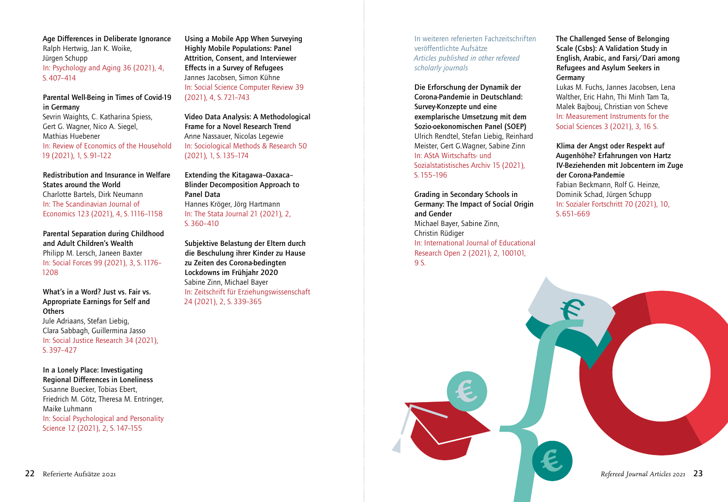Age Differences in Deliberate Ignorance Ralph Hertwig, Jan K. Woike, Jürgen Schupp In: Psychology and Aging 36 (2021), 4, S. 407–414

#### Parental Well-Being in Times of Covid-19 in Germany

Sevrin Waights, C. Katharina Spiess, Gert G. Wagner, Nico A. Siegel, Mathias Huebener In: Review of Economics of the Household 19 (2021), 1, S. 91–122

Redistribution and Insurance in Welfare States around the World Charlotte Bartels, Dirk Neumann In: The Scandinavian Journal of Economics 123 (2021), 4, S. 1116–1158

Parental Separation during Childhood and Adult Children's Wealth Philipp M. Lersch, Janeen Baxter In: Social Forces 99 (2021), 3, S. 1176– 1208

What's in a Word? Just vs. Fair vs. Appropriate Earnings for Self and **Others** Jule Adriaans, Stefan Liebig, Clara Sabbagh, Guillermina Jasso In: Social Justice Research 34 (2021), S. 397–427

In a Lonely Place: Investigating Regional Differences in Loneliness Susanne Buecker, Tobias Ebert, Friedrich M. Götz, Theresa M. Entringer, Maike Luhmann In: Social Psychological and Personality Science 12 (2021), 2, S. 147–155

Using a Mobile App When Surveying Highly Mobile Populations: Panel Attrition, Consent, and Interviewer Effects in a Survey of Refugees Jannes Jacobsen, Simon Kühne In: Social Science Computer Review 39 (2021), 4, S. 721–743

Video Data Analysis: A Methodological Frame for a Novel Research Trend Anne Nassauer, Nicolas Legewie In: Sociological Methods & Research 50 (2021), 1, S. 135–174

Extending the Kitagawa–Oaxaca– Blinder Decomposition Approach to Panel Data Hannes Kröger, Jörg Hartmann In: The Stata Journal 21 (2021), 2, S. 360–410

Subjektive Belastung der Eltern durch die Beschulung ihrer Kinder zu Hause zu Zeiten des Corona-bedingten Lockdowns im Frühjahr 2020 Sabine Zinn, Michael Bayer In: Zeitschrift für Erziehungswissenschaft 24 (2021), 2, S. 339–365

In weiteren referierten Fachzeitschriften veröffentlichte Aufsätze *Articles published in other refereed scholarly journals*

Die Erforschung der Dynamik der Corona-Pandemie in Deutschland: Survey-Konzepte und eine exemplarische Umsetzung mit dem Sozio-oekonomischen Panel (SOEP) Ulrich Rendtel, Stefan Liebig, Reinhard Meister, Gert G.Wagner, Sabine Zinn In: AStA Wirtschafts- und Sozialstatistisches Archiv 15 (2021), S. 155–196

Grading in Secondary Schools in Germany: The Impact of Social Origin and Gender Michael Bayer, Sabine Zinn, Christin Rüdiger In: International Journal of Educational Research Open 2 (2021), 2, 100101, 9 S.

The Challenged Sense of Belonging Scale (Csbs): A Validation Study in English, Arabic, and Farsi/Dari among Refugees and Asylum Seekers in Germany

Lukas M. Fuchs, Jannes Jacobsen, Lena Walther, Eric Hahn, Thi Minh Tam Ta, Malek Bajbouj, Christian von Scheve In: Measurement Instruments for the Social Sciences 3 (2021), 3, 16 S.

Klima der Angst oder Respekt auf Augenhöhe? Erfahrungen von Hartz IV-Beziehenden mit Jobcentern im Zuge der Corona-Pandemie Fabian Beckmann, Rolf G. Heinze, Dominik Schad, Jürgen Schupp In: Sozialer Fortschritt 70 (2021), 10, S. 651–669

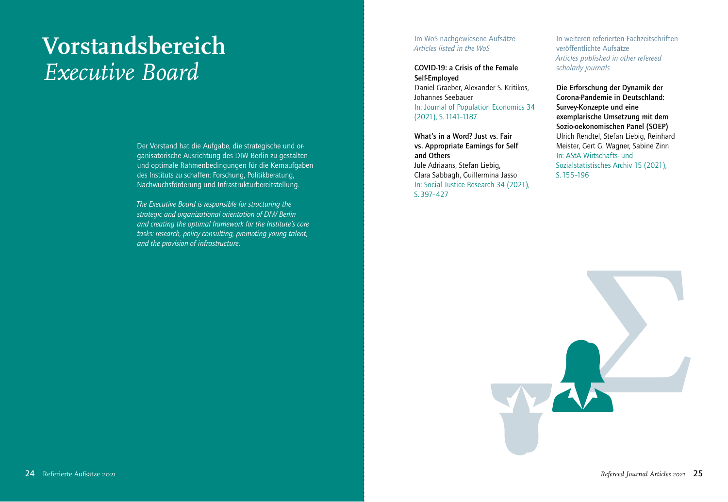# **Vorstandsbereich** *Executive Board*

Der Vorstand hat die Aufgabe, die strategische und organisatorische Ausrichtung des DIW Berlin zu gestalten und optimale Rahmenbedingungen für die Kernaufgaben des Instituts zu schaffen: Forschung, Politikberatung, Nachwuchsförderung und Infrastrukturbereitstellung.

*The Executive Board is responsible for structuring the strategic and organizational orientation of DIW Berlin and creating the optimal framework for the Institute's core tasks: research, policy consulting, promoting young talent, and the provision of infrastructure.*

#### Im WoS nachgewiesene Aufsätze *Articles listed in the WoS*

#### COVID-19: a Crisis of the Female Self-Employed

Daniel Graeber, Alexander S. Kritikos, Johannes Seebauer In: Journal of Population Economics 34 (2021), S. 1141–1187

What's in a Word? Just vs. Fair vs. Appropriate Earnings for Self and Others Jule Adriaans, Stefan Liebig, Clara Sabbagh, Guillermina Jasso In: Social Justice Research 34 (2021), S. 397–427

In weiteren referierten Fachzeitschriften veröffentlichte Aufsätze *Articles published in other refereed scholarly journals*

Die Erforschung der Dynamik der Corona-Pandemie in Deutschland: Survey-Konzepte und eine exemplarische Umsetzung mit dem Sozio-oekonomischen Panel (SOEP) Ulrich Rendtel, Stefan Liebig, Reinhard Meister, Gert G. Wagner, Sabine Zinn In: AStA Wirtschafts- und Sozialstatistisches Archiv 15 (2021), S. 155–196

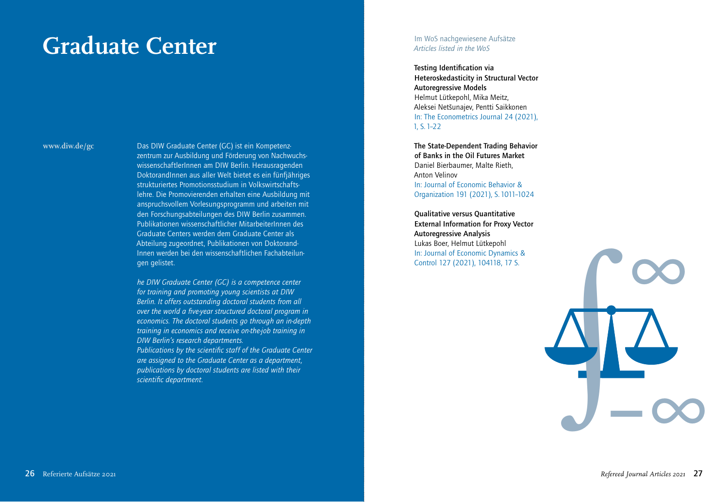# **Graduate Center**

#### **www.diw.de/gc**

Das DIW Graduate Center (GC) ist ein Kompetenzzentrum zur Ausbildung und Förderung von NachwuchswissenschaftlerInnen am DIW Berlin. Herausragenden DoktorandInnen aus aller Welt bietet es ein fünfjähriges strukturiertes Promotionsstudium in Volkswirtschaftslehre. Die Promovierenden erhalten eine Ausbildung mit anspruchsvollem Vorlesungsprogramm und arbeiten mit den Forschungsabteilungen des DIW Berlin zusammen. Publikationen wissenschaftlicher MitarbeiterInnen des Graduate Centers werden dem Graduate Center als Abteilung zugeordnet, Publikationen von Doktorand-Innen werden bei den wissenschaftlichen Fachabteilungen gelistet.

*he DIW Graduate Center (GC) is a competence center for training and promoting young scientists at DIW Berlin. It offers outstanding doctoral students from all over the world a five-year structured doctoral program in economics. The doctoral students go through an in-depth training in economics and receive on-the-job training in DIW Berlin's research departments. Publications by the scientific staff of the Graduate Center are assigned to the Graduate Center as a department, publications by doctoral students are listed with their scientific department.*

#### Im WoS nachgewiesene Aufsätze *Articles listed in the WoS*

Testing Identification via Heteroskedasticity in Structural Vector Autoregressive Models Helmut Lütkepohl, Mika Meitz, Aleksei Netšunajev, Pentti Saikkonen In: The Econometrics Journal 24 (2021), 1, S. 1–22

The State-Dependent Trading Behavior of Banks in the Oil Futures Market Daniel Bierbaumer, Malte Rieth, Anton Velinov In: Journal of Economic Behavior & Organization 191 (2021), S. 1011–1024

Qualitative versus Quantitative External Information for Proxy Vector Autoregressive Analysis Lukas Boer, Helmut Lütkepohl In: Journal of Economic Dynamics & Control 127 (2021), 104118, 17 S.

*∞* ∫*−∞*